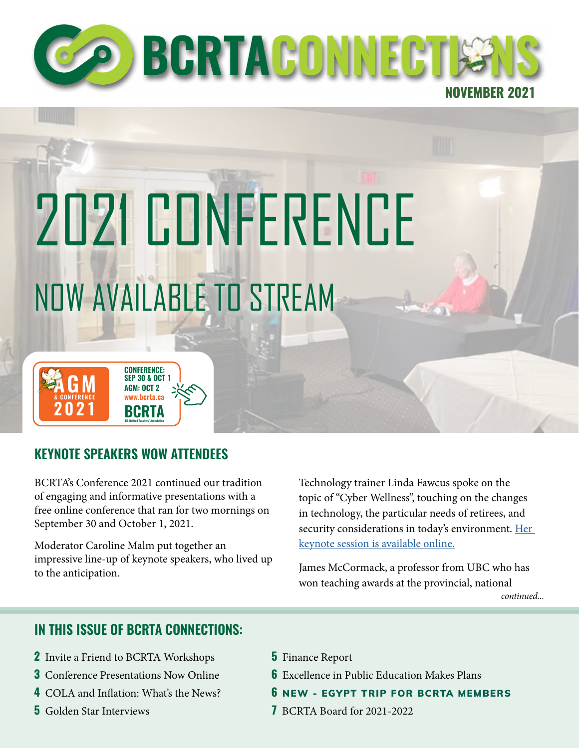

**BGRTACONNECT** 

**NOVEMBER 2021**

# 2021 CONFERENCE NOW AVAILABLE TO STREAM

# **KEYNOTE SPEAKERS WOW ATTENDEES**

**& CONFERENCE www.bcrta.ca**

**AGM**

**2021**

**BCRTA BC Retired Teachers' Association**

**CONFERENCE: SEP 30 & OCT 1 AGM: OCT 2**

BCRTA's Conference 2021 continued our tradition of engaging and informative presentations with a free online conference that ran for two mornings on September 30 and October 1, 2021.

Moderator Caroline Malm put together an impressive line-up of keynote speakers, who lived up to the anticipation.

Technology trainer Linda Fawcus spoke on the topic of "Cyber Wellness", touching on the changes in technology, the particular needs of retirees, and security considerations in today's environment. Her [keynote session is available online.](https://bcrta.ca/linda-fawcus-on-cyber-wellness-tech-for-retirees/)

*continued...* James McCormack, a professor from UBC who has won teaching awards at the provincial, national

### **IN THIS ISSUE OF BCRTA CONNECTIONS:**

- **2** Invite a Friend to BCRTA Workshops
- **3** Conference Presentations Now Online
- **4** COLA and Inflation: What's the News?
- **5** Golden Star Interviews
- **5** Finance Report
- **6** Excellence in Public Education Makes Plans
- **6** NEW EGYPT TRIP FOR BCRTA MEMBERS
- **7** BCRTA Board for 2021-2022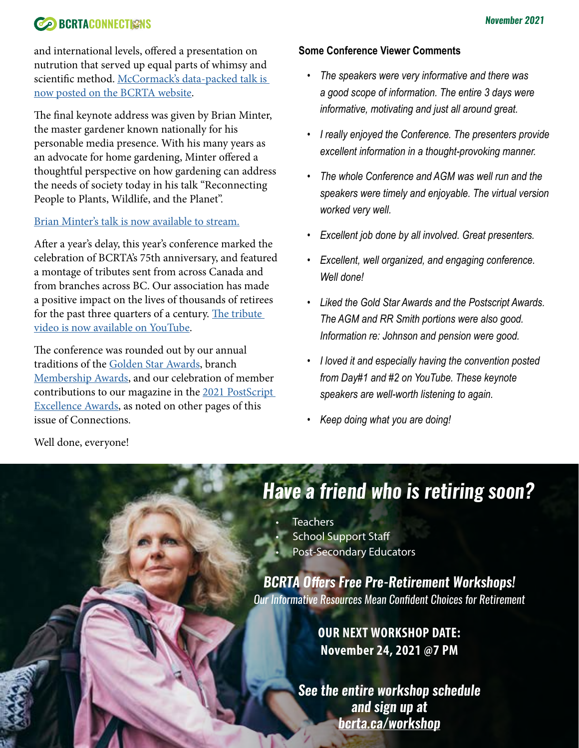## **CONNECTIONS BCRTACONNECTIONS**

and international levels, offered a presentation on nutrution that served up equal parts of whimsy and scientific method. McCormack's data-packed talk is [now posted on the BCRTA website](https://bcrta.ca/dr-james-mccormack-on-the-science-of-nutrition-myths-and-fact/).

The final keynote address was given by Brian Minter, the master gardener known nationally for his personable media presence. With his many years as an advocate for home gardening, Minter offered a thoughtful perspective on how gardening can address the needs of society today in his talk "Reconnecting People to Plants, Wildlife, and the Planet".

#### [Brian Minter's talk is now available to stream.](https://bcrta.ca/brian-minter-reconnecting-people-to-plants-wildlife-and-the-planet/)

After a year's delay, this year's conference marked the celebration of BCRTA's 75th anniversary, and featured a montage of tributes sent from across Canada and from branches across BC. Our association has made a positive impact on the lives of thousands of retirees for the past three quarters of a century. The tribute [video is now available on YouTube.](https://youtu.be/4STNyqNSDUs)

The conference was rounded out by our annual traditions of the [Golden Star Awards](https://bcrta.ca/2021-golden-star-awards-interviews/), branch [Membership Awards,](https://www.youtube.com/watch?v=OEh5zPeZwas) and our celebration of member contributions to our magazine in the 2021 PostScript [Excellence Awards](https://bcrta.ca/2021-postscript-excellence-awards/), as noted on other pages of this issue of Connections.

#### **Some Conference Viewer Comments**

- *• The speakers were very informative and there was a good scope of information. The entire 3 days were informative, motivating and just all around great.*
- *• I really enjoyed the Conference. The presenters provide excellent information in a thought-provoking manner.*
- *• The whole Conference and AGM was well run and the speakers were timely and enjoyable. The virtual version worked very well.*
- *• Excellent job done by all involved. Great presenters.*
- *• Excellent, well organized, and engaging conference. Well done!*
- *• Liked the Gold Star Awards and the Postscript Awards. The AGM and RR Smith portions were also good. Information re: Johnson and pension were good.*
- *• I loved it and especially having the convention posted from Day#1 and #2 on YouTube. These keynote speakers are well-worth listening to again.*
- *• Keep doing what you are doing!*

Well done, everyone!

# *Have a friend who is retiring soon?*

**Teachers School Support Staff** • Post-Secondary Educators

2

*BCRTA Offers Free Pre-Retirement Workshops! Our Informative Resources Mean Confident Choices for Retirement* 

> **OUR NEXT WORKSHOP DATE: November 24, 2021 @7 PM**

*See the entire workshop schedule and sign up at b[crta.ca/w](http://bcrta.ca/workshop)orkshop*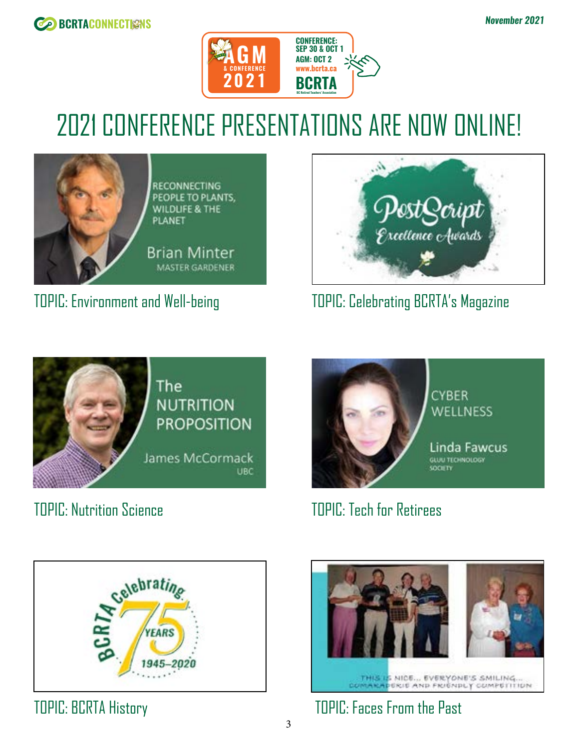



# 2021 CONFERENCE PRESENTATIONS ARE NOW ONLINE!



RECONNECTING PEOPLE TO PLANTS, WILDLIFE & THE **PLANET** 

**Brian Minter MASTER GARDENER** 

# TOPIC: Environment and Well-being



TOPIC: Celebrating BCRTA's Magazine



TOPIC: Nutrition Science TOPIC: Tech for Retirees







TOPIC: BCRTA History TOPIC: Faces From the Past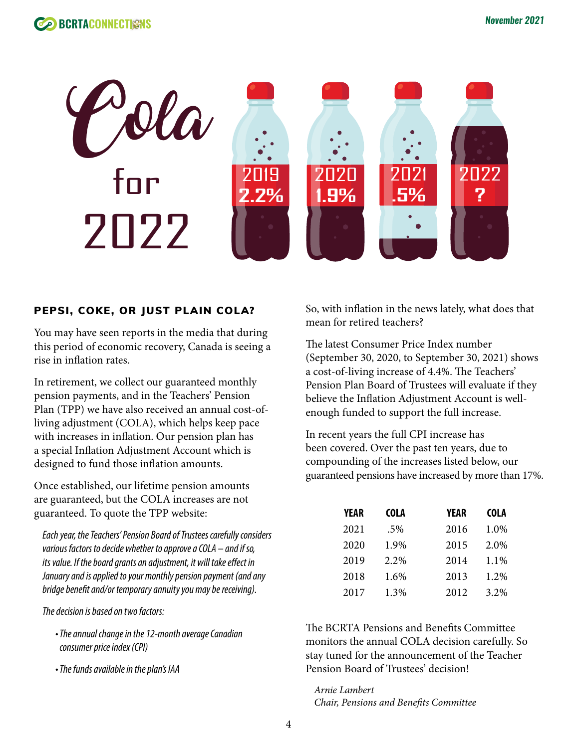

#### PEPSI, COKE, OR JUST PLAIN COLA?

You may have seen reports in the media that during this period of economic recovery, Canada is seeing a rise in inflation rates.

In retirement, we collect our guaranteed monthly pension payments, and in the Teachers' Pension Plan (TPP) we have also received an annual cost-ofliving adjustment (COLA), which helps keep pace with increases in inflation. Our pension plan has a special Inflation Adjustment Account which is designed to fund those inflation amounts.

Once established, our lifetime pension amounts are guaranteed, but the COLA increases are not guaranteed. To quote the TPP website:

*Each year, the Teachers' Pension Board of Trustees carefully considers various factors to decide whether to approve a COLA – and if so, its value. If the board grants an adjustment, it will take effect in January and is applied to your monthly pension payment (and any bridge benefit and/or temporary annuity you may be receiving).*

*The decision is based on two factors:*

- *•The annual change in the 12-month average Canadian consumer price index (CPI)*
- *•The funds available in the plan's IAA*

So, with inflation in the news lately, what does that mean for retired teachers?

The latest Consumer Price Index number (September 30, 2020, to September 30, 2021) shows a cost-of-living increase of 4.4%. The Teachers' Pension Plan Board of Trustees will evaluate if they believe the Inflation Adjustment Account is wellenough funded to support the full increase.

In recent years the full CPI increase has been covered. Over the past ten years, due to compounding of the increases listed below, our guaranteed pensions have increased by more than 17%.

| YEAR | <b>COLA</b> | YEAR | <b>COLA</b> |
|------|-------------|------|-------------|
| 2021 | .5%         | 2016 | 1.0%        |
| 2020 | 1.9%        | 2015 | 2.0%        |
| 2019 | 2.2%        | 2014 | 1.1%        |
| 2018 | 1.6%        | 2013 | 1.2%        |
| 2017 | 1.3%        | 2012 | 3.2%        |

The BCRTA Pensions and Benefits Committee monitors the annual COLA decision carefully. So stay tuned for the announcement of the Teacher Pension Board of Trustees' decision!

*Arnie Lambert Chair, Pensions and Benefits Committee*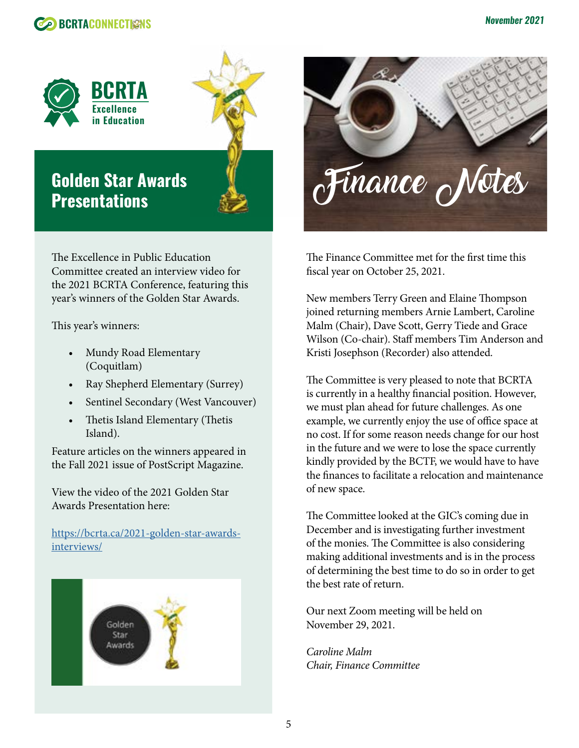



# **Golden Star Awards Presentations**

The Excellence in Public Education Committee created an interview video for the 2021 BCRTA Conference, featuring this year's winners of the Golden Star Awards.

This year's winners:

- Mundy Road Elementary (Coquitlam)
- Ray Shepherd Elementary (Surrey)
- Sentinel Secondary (West Vancouver)
- Thetis Island Elementary (Thetis Island).

Feature articles on the winners appeared in the Fall 2021 issue of PostScript Magazine.

View the video of the 2021 Golden Star Awards Presentation here:

[https://bcrta.ca/2021-golden-star-awards](https://bcrta.ca/2021-golden-star-awards-interviews/)[interviews/](https://bcrta.ca/2021-golden-star-awards-interviews/)





The Finance Committee met for the first time this fiscal year on October 25, 2021.

New members Terry Green and Elaine Thompson joined returning members Arnie Lambert, Caroline Malm (Chair), Dave Scott, Gerry Tiede and Grace Wilson (Co-chair). Staff members Tim Anderson and Kristi Josephson (Recorder) also attended.

The Committee is very pleased to note that BCRTA is currently in a healthy financial position. However, we must plan ahead for future challenges. As one example, we currently enjoy the use of office space at no cost. If for some reason needs change for our host in the future and we were to lose the space currently kindly provided by the BCTF, we would have to have the finances to facilitate a relocation and maintenance of new space.

The Committee looked at the GIC's coming due in December and is investigating further investment of the monies. The Committee is also considering making additional investments and is in the process of determining the best time to do so in order to get the best rate of return.

Our next Zoom meeting will be held on November 29, 2021.

*Caroline Malm Chair, Finance Committee*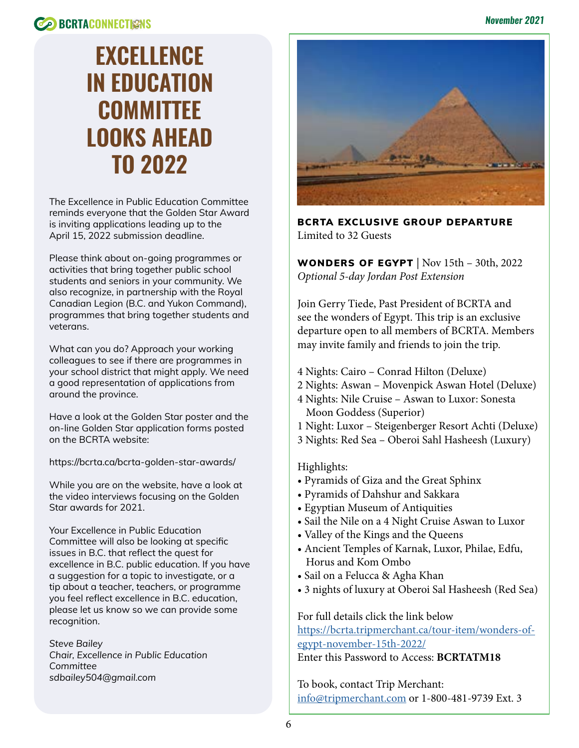# **EXCELLENCE IN EDUCATION COMMITTEE LOOKS AHEAD TO 2022**

The Excellence in Public Education Committee reminds everyone that the Golden Star Award is inviting applications leading up to the April 15, 2022 submission deadline.

Please think about on-going programmes or activities that bring together public school students and seniors in your community. We also recognize, in partnership with the Royal Canadian Legion (B.C. and Yukon Command), programmes that bring together students and veterans.

What can you do? Approach your working colleagues to see if there are programmes in your school district that might apply. We need a good representation of applications from around the province.

Have a look at the Golden Star poster and the on-line Golden Star application forms posted on the BCRTA website:

https://bcrta.ca/bcrta-golden-star-awards/

While you are on the website, have a look at the video interviews focusing on the Golden Star awards for 2021.

Your Excellence in Public Education Committee will also be looking at specific issues in B.C. that reflect the quest for excellence in B.C. public education. If you have a suggestion for a topic to investigate, or a tip about a teacher, teachers, or programme you feel reflect excellence in B.C. education, please let us know so we can provide some recognition.

*Steve Bailey Chair, Excellence in Public Education Committee sdbailey504@gmail.com*



BCRTA EXCLUSIVE GROUP DEPARTURE Limited to 32 Guests

WONDERS OF EGYPT  $|$  Nov 15th – 30th, 2022 *Optional 5-day Jordan Post Extension*

Join Gerry Tiede, Past President of BCRTA and see the wonders of Egypt. This trip is an exclusive departure open to all members of BCRTA. Members may invite family and friends to join the trip.

- 4 Nights: Cairo Conrad Hilton (Deluxe)
- 2 Nights: Aswan Movenpick Aswan Hotel (Deluxe)
- 4 Nights: Nile Cruise Aswan to Luxor: Sonesta Moon Goddess (Superior)
- 1 Night: Luxor Steigenberger Resort Achti (Deluxe)
- 3 Nights: Red Sea Oberoi Sahl Hasheesh (Luxury)

#### Highlights:

- Pyramids of Giza and the Great Sphinx
- Pyramids of Dahshur and Sakkara
- Egyptian Museum of Antiquities
- Sail the Nile on a 4 Night Cruise Aswan to Luxor
- Valley of the Kings and the Queens
- Ancient Temples of Karnak, Luxor, Philae, Edfu, Horus and Kom Ombo
- Sail on a Felucca & Agha Khan
- 3 nights of luxury at Oberoi Sal Hasheesh (Red Sea)

For full details click the link below [https://bcrta.tripmerchant.ca/tour-item/wonders-of](https://bcrta.tripmerchant.ca/tour-item/wonders-of-egypt-november-15th-2022/)[egypt-november-15th-2022/](https://bcrta.tripmerchant.ca/tour-item/wonders-of-egypt-november-15th-2022/)

Enter this Password to Access: **BCRTATM18**

To book, contact Trip Merchant: [info@tripmerchant.com](mailto:info@tripmerchant.com) or 1-800-481-9739 Ext. 3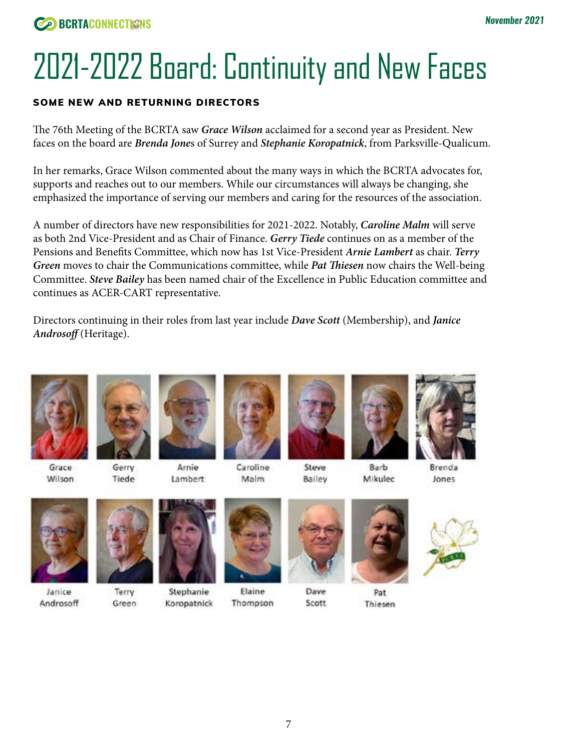# 2021-2022 Board: Continuity and New Faces

#### SOME NEW AND RETURNING DIRECTORS

The 76th Meeting of the BCRTA saw *Grace Wilson* acclaimed for a second year as President. New faces on the board are *Brenda Jone*s of Surrey and *Stephanie Koropatnick*, from Parksville-Qualicum.

In her remarks, Grace Wilson commented about the many ways in which the BCRTA advocates for, supports and reaches out to our members. While our circumstances will always be changing, she emphasized the importance of serving our members and caring for the resources of the association.

A number of directors have new responsibilities for 2021-2022. Notably, *Caroline Malm* will serve as both 2nd Vice-President and as Chair of Finance. *Gerry Tiede* continues on as a member of the Pensions and Benefits Committee, which now has 1st Vice-President *Arnie Lambert* as chair. *Terry Green* moves to chair the Communications committee, while *Pat Thiesen* now chairs the Well-being Committee. *Steve Bailey* has been named chair of the Excellence in Public Education committee and continues as ACER-CART representative.

Directors continuing in their roles from last year include *Dave Scott* (Membership), and *Janice*  Androsoff (Heritage).



Gerry Tiede



Koropatnick





Steve

Bailey



Barb Mikulec



Brenda Jones



Wilson

Janice Androsoff

Terry Green



Elaine Thompson



Dave

Scott

Thiesen

Pat